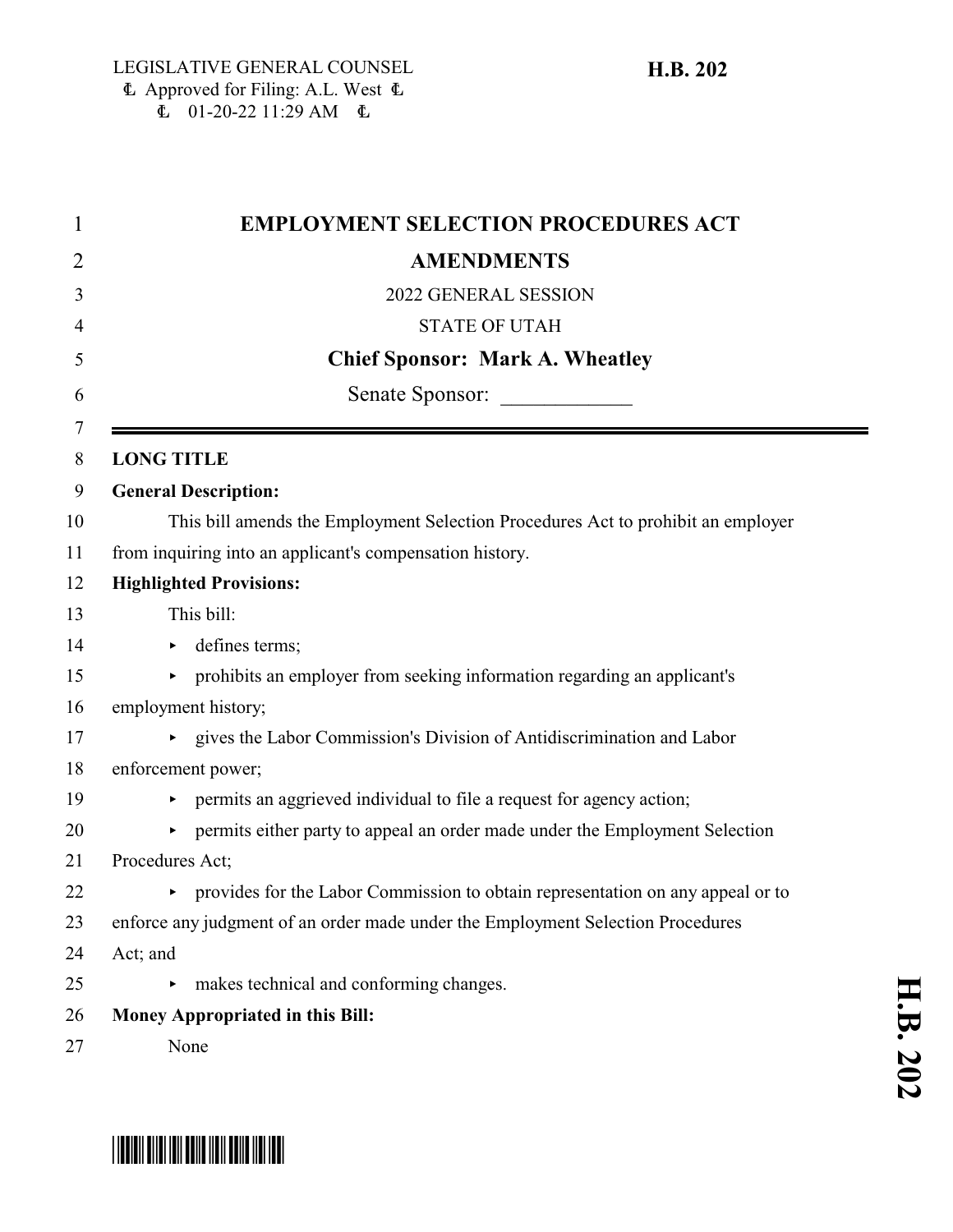$\stackrel{\text{1}}{=}$  01-20-22 11:29 AM  $\stackrel{\text{1}}{=}$ 

| $\mathbf 1$ | <b>EMPLOYMENT SELECTION PROCEDURES ACT</b>                                       |
|-------------|----------------------------------------------------------------------------------|
| 2           | <b>AMENDMENTS</b>                                                                |
| 3           | 2022 GENERAL SESSION                                                             |
| 4           | <b>STATE OF UTAH</b>                                                             |
| 5           | <b>Chief Sponsor: Mark A. Wheatley</b>                                           |
| 6           | Senate Sponsor:                                                                  |
| 7           | <b>LONG TITLE</b>                                                                |
| 8<br>9      | <b>General Description:</b>                                                      |
| 10          | This bill amends the Employment Selection Procedures Act to prohibit an employer |
| 11          | from inquiring into an applicant's compensation history.                         |
| 12          | <b>Highlighted Provisions:</b>                                                   |
| 13          | This bill:                                                                       |
|             |                                                                                  |
| 14          | defines terms;<br>▶                                                              |
| 15          | • prohibits an employer from seeking information regarding an applicant's        |
| 16          | employment history;                                                              |
| 17          | • gives the Labor Commission's Division of Antidiscrimination and Labor          |
| 18          | enforcement power;                                                               |
| 19          | permits an aggrieved individual to file a request for agency action;<br>Þ.       |
| 20          | permits either party to appeal an order made under the Employment Selection      |
| 21          | Procedures Act;                                                                  |
| 22          | • provides for the Labor Commission to obtain representation on any appeal or to |
| 23          | enforce any judgment of an order made under the Employment Selection Procedures  |
| 24          | Act; and                                                                         |
| 25          | makes technical and conforming changes.                                          |
| 26          | Money Appropriated in this Bill:                                                 |
| 27          | None                                                                             |



# \*HB0202\*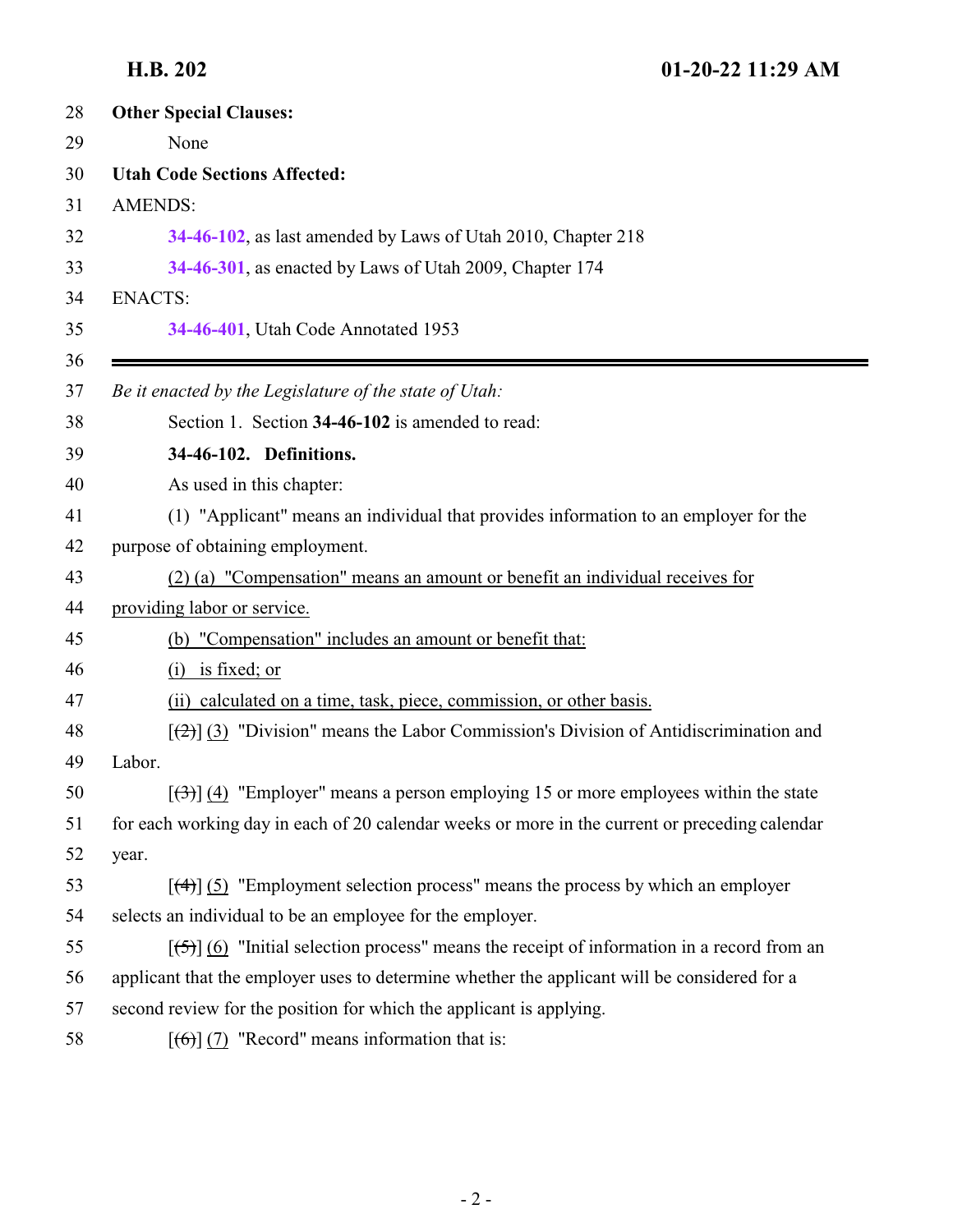<span id="page-1-0"></span>

| 28 | <b>Other Special Clauses:</b>                                                                                     |
|----|-------------------------------------------------------------------------------------------------------------------|
| 29 | None                                                                                                              |
| 30 | <b>Utah Code Sections Affected:</b>                                                                               |
| 31 | <b>AMENDS:</b>                                                                                                    |
| 32 | 34-46-102, as last amended by Laws of Utah 2010, Chapter 218                                                      |
| 33 | 34-46-301, as enacted by Laws of Utah 2009, Chapter 174                                                           |
| 34 | <b>ENACTS:</b>                                                                                                    |
| 35 | 34-46-401, Utah Code Annotated 1953                                                                               |
| 36 |                                                                                                                   |
| 37 | Be it enacted by the Legislature of the state of Utah:                                                            |
| 38 | Section 1. Section 34-46-102 is amended to read:                                                                  |
| 39 | 34-46-102. Definitions.                                                                                           |
| 40 | As used in this chapter:                                                                                          |
| 41 | (1) "Applicant" means an individual that provides information to an employer for the                              |
| 42 | purpose of obtaining employment.                                                                                  |
| 43 | (2) (a) "Compensation" means an amount or benefit an individual receives for                                      |
| 44 | providing labor or service.                                                                                       |
| 45 | (b) "Compensation" includes an amount or benefit that:                                                            |
| 46 | is fixed; or<br>(i)                                                                                               |
| 47 | (ii) calculated on a time, task, piece, commission, or other basis.                                               |
| 48 | $[\frac{1}{2}]$ (3) "Division" means the Labor Commission's Division of Antidiscrimination and                    |
| 49 | Labor.                                                                                                            |
| 50 | $[\langle 3\rangle]$ (4) "Employer" means a person employing 15 or more employees within the state                |
| 51 | for each working day in each of 20 calendar weeks or more in the current or preceding calendar                    |
| 52 | year.                                                                                                             |
| 53 | $[$ (4)] (5) "Employment selection process" means the process by which an employer                                |
| 54 | selects an individual to be an employee for the employer.                                                         |
| 55 | $[\frac{1}{2}, \frac{1}{2}]$ (6) "Initial selection process" means the receipt of information in a record from an |
| 56 | applicant that the employer uses to determine whether the applicant will be considered for a                      |
| 57 | second review for the position for which the applicant is applying.                                               |
| 58 | $[\left(6\right)]$ (7) "Record" means information that is:                                                        |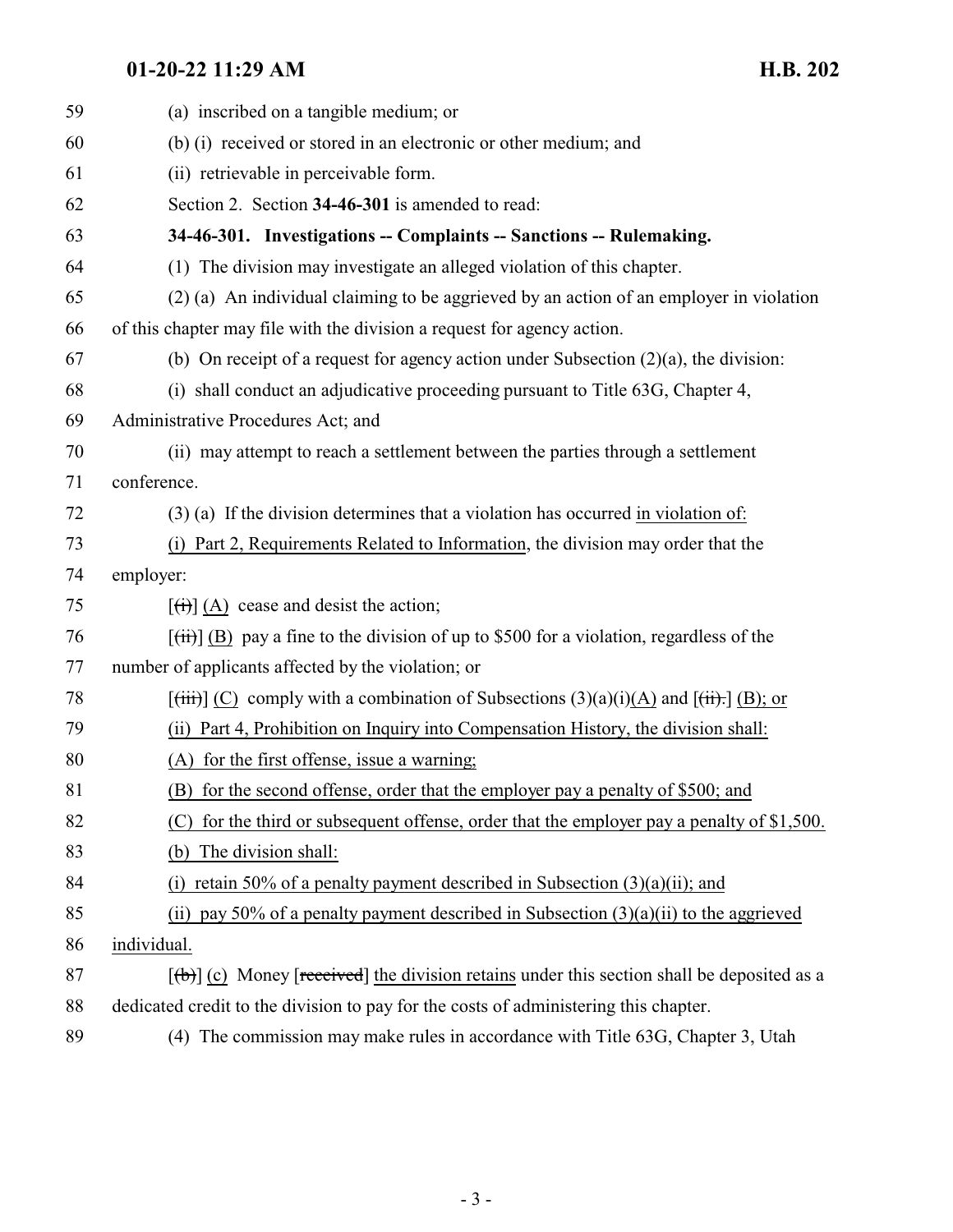### <span id="page-2-0"></span>**01-20-22 11:29 AM H.B. 202**

| 59 | (a) inscribed on a tangible medium; or                                                                                       |
|----|------------------------------------------------------------------------------------------------------------------------------|
| 60 | (b) (i) received or stored in an electronic or other medium; and                                                             |
| 61 | (ii) retrievable in perceivable form.                                                                                        |
| 62 | Section 2. Section 34-46-301 is amended to read:                                                                             |
| 63 | 34-46-301. Investigations -- Complaints -- Sanctions -- Rulemaking.                                                          |
| 64 | (1) The division may investigate an alleged violation of this chapter.                                                       |
| 65 | (2) (a) An individual claiming to be aggrieved by an action of an employer in violation                                      |
| 66 | of this chapter may file with the division a request for agency action.                                                      |
| 67 | (b) On receipt of a request for agency action under Subsection $(2)(a)$ , the division:                                      |
| 68 | (i) shall conduct an adjudicative proceeding pursuant to Title 63G, Chapter 4,                                               |
| 69 | Administrative Procedures Act; and                                                                                           |
| 70 | (ii) may attempt to reach a settlement between the parties through a settlement                                              |
| 71 | conference.                                                                                                                  |
| 72 | $(3)$ (a) If the division determines that a violation has occurred in violation of:                                          |
| 73 | Part 2, Requirements Related to Information, the division may order that the<br>(i)                                          |
| 74 | employer:                                                                                                                    |
| 75 | $\left[\left(\overrightarrow{t}\right)\right]$ (A) cease and desist the action;                                              |
| 76 | $[\overrightarrow{t})$ (B) pay a fine to the division of up to \$500 for a violation, regardless of the                      |
| 77 | number of applicants affected by the violation; or                                                                           |
| 78 | $[\overline{\text{(iii)}}]$ (C) comply with a combination of Subsections (3)(a)(i)(A) and $[\overline{\text{(ii)}}]$ (B); or |
| 79 | (ii) Part 4, Prohibition on Inquiry into Compensation History, the division shall:                                           |
| 80 | (A) for the first offense, issue a warning;                                                                                  |
| 81 | (B) for the second offense, order that the employer pay a penalty of \$500; and                                              |
| 82 | for the third or subsequent offense, order that the employer pay a penalty of \$1,500.<br>(C)                                |
| 83 | The division shall:<br>(b)                                                                                                   |
| 84 | retain 50% of a penalty payment described in Subsection $(3)(a)(ii)$ ; and<br>(1)                                            |
| 85 | (ii) pay 50% of a penalty payment described in Subsection $(3)(a)(ii)$ to the aggrieved                                      |
| 86 | individual.                                                                                                                  |
| 87 | $[\phi]$ (c) Money [received] the division retains under this section shall be deposited as a                                |
| 88 | dedicated credit to the division to pay for the costs of administering this chapter.                                         |
| 89 | (4) The commission may make rules in accordance with Title 63G, Chapter 3, Utah                                              |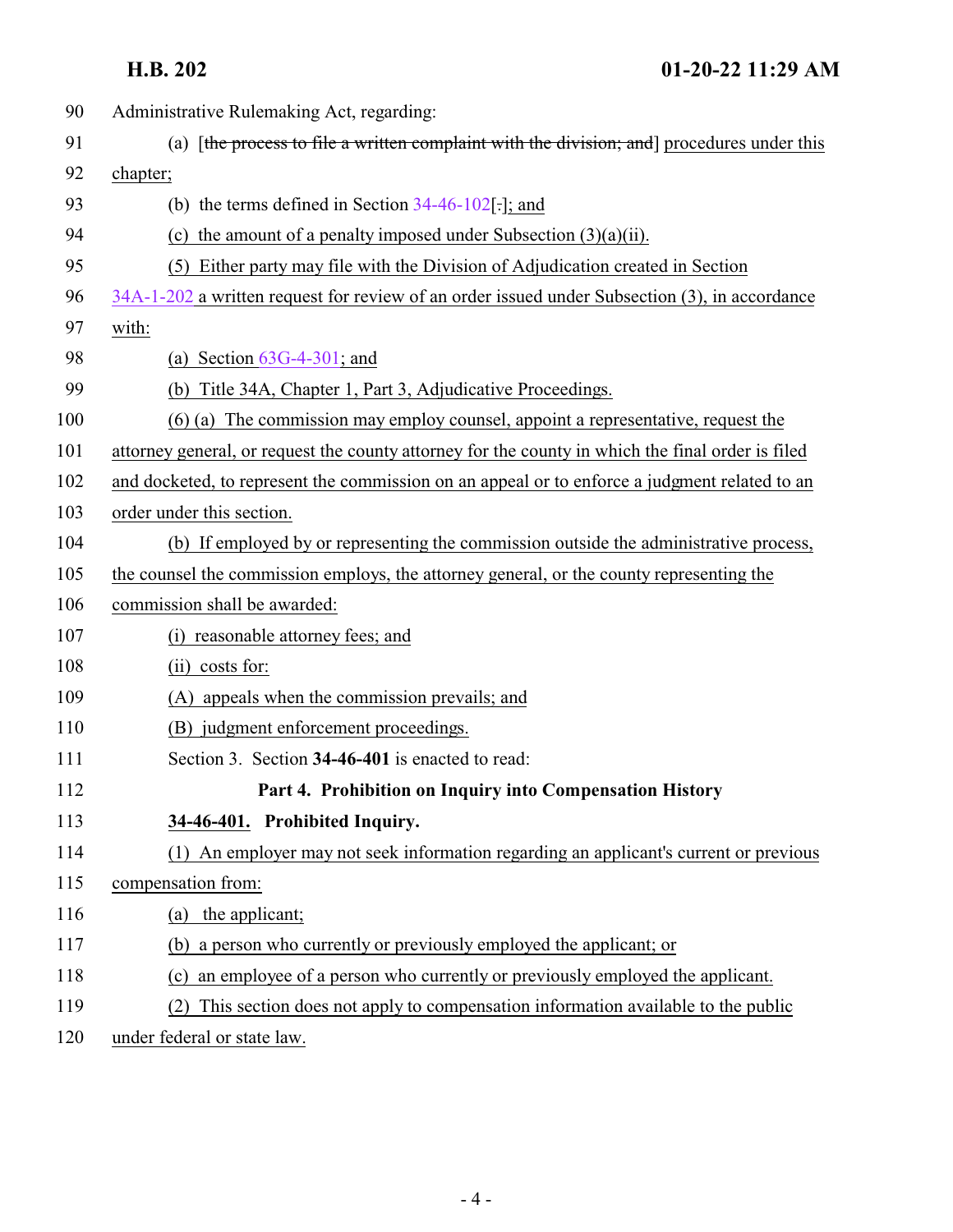**H.B. 202 01-20-22 11:29 AM**

<span id="page-3-0"></span>

| 90  | Administrative Rulemaking Act, regarding:                                                         |
|-----|---------------------------------------------------------------------------------------------------|
| 91  | (a) [the process to file a written complaint with the division; and procedures under this         |
| 92  | chapter;                                                                                          |
| 93  | (b) the terms defined in Section $34-46-102$ . $\pi$ and                                          |
| 94  | (c) the amount of a penalty imposed under Subsection $(3)(a)(ii)$ .                               |
| 95  | (5) Either party may file with the Division of Adjudication created in Section                    |
| 96  | 34A-1-202 a written request for review of an order issued under Subsection (3), in accordance     |
| 97  | with:                                                                                             |
| 98  | (a) Section $63G-4-301$ ; and                                                                     |
| 99  | (b) Title 34A, Chapter 1, Part 3, Adjudicative Proceedings.                                       |
| 100 | (6) (a) The commission may employ counsel, appoint a representative, request the                  |
| 101 | attorney general, or request the county attorney for the county in which the final order is filed |
| 102 | and docketed, to represent the commission on an appeal or to enforce a judgment related to an     |
| 103 | order under this section.                                                                         |
| 104 | (b) If employed by or representing the commission outside the administrative process,             |
| 105 | the counsel the commission employs, the attorney general, or the county representing the          |
| 106 | commission shall be awarded:                                                                      |
| 107 | reasonable attorney fees; and<br>(i)                                                              |
| 108 | $(ii)$ costs for:                                                                                 |
| 109 | (A) appeals when the commission prevails; and                                                     |
| 110 | (B) judgment enforcement proceedings.                                                             |
| 111 | Section 3. Section 34-46-401 is enacted to read:                                                  |
| 112 | Part 4. Prohibition on Inquiry into Compensation History                                          |
| 113 | 34-46-401. Prohibited Inquiry.                                                                    |
| 114 | (1) An employer may not seek information regarding an applicant's current or previous             |
| 115 | compensation from:                                                                                |
| 116 | (a) the applicant;                                                                                |
| 117 | (b) a person who currently or previously employed the applicant; or                               |
| 118 | an employee of a person who currently or previously employed the applicant.<br>(c)                |
| 119 | This section does not apply to compensation information available to the public                   |
| 120 | under federal or state law.                                                                       |